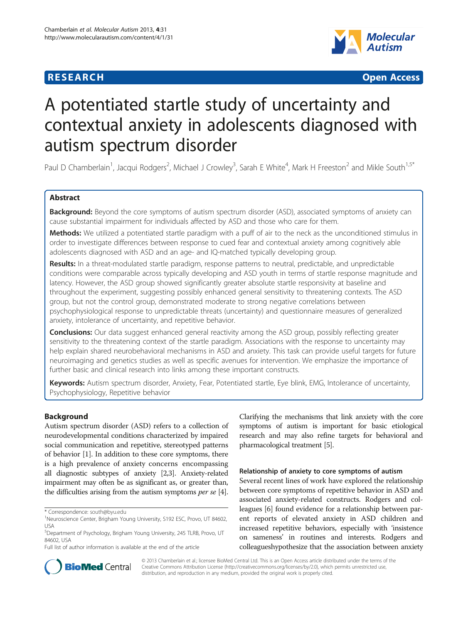## **RESEARCH CHE CHE Open Access**



# A potentiated startle study of uncertainty and contextual anxiety in adolescents diagnosed with autism spectrum disorder

Paul D Chamberlain<sup>1</sup>, Jacqui Rodgers<sup>2</sup>, Michael J Crowley<sup>3</sup>, Sarah E White<sup>4</sup>, Mark H Freeston<sup>2</sup> and Mikle South<sup>1,5\*</sup>

### Abstract

Background: Beyond the core symptoms of autism spectrum disorder (ASD), associated symptoms of anxiety can cause substantial impairment for individuals affected by ASD and those who care for them.

Methods: We utilized a potentiated startle paradigm with a puff of air to the neck as the unconditioned stimulus in order to investigate differences between response to cued fear and contextual anxiety among cognitively able adolescents diagnosed with ASD and an age- and IQ-matched typically developing group.

Results: In a threat-modulated startle paradigm, response patterns to neutral, predictable, and unpredictable conditions were comparable across typically developing and ASD youth in terms of startle response magnitude and latency. However, the ASD group showed significantly greater absolute startle responsivity at baseline and throughout the experiment, suggesting possibly enhanced general sensitivity to threatening contexts. The ASD group, but not the control group, demonstrated moderate to strong negative correlations between psychophysiological response to unpredictable threats (uncertainty) and questionnaire measures of generalized anxiety, intolerance of uncertainty, and repetitive behavior.

**Conclusions:** Our data suggest enhanced general reactivity among the ASD group, possibly reflecting greater sensitivity to the threatening context of the startle paradigm. Associations with the response to uncertainty may help explain shared neurobehavioral mechanisms in ASD and anxiety. This task can provide useful targets for future neuroimaging and genetics studies as well as specific avenues for intervention. We emphasize the importance of further basic and clinical research into links among these important constructs.

Keywords: Autism spectrum disorder, Anxiety, Fear, Potentiated startle, Eye blink, EMG, Intolerance of uncertainty, Psychophysiology, Repetitive behavior

#### Background

Autism spectrum disorder (ASD) refers to a collection of neurodevelopmental conditions characterized by impaired social communication and repetitive, stereotyped patterns of behavior [\[1](#page-9-0)]. In addition to these core symptoms, there is a high prevalence of anxiety concerns encompassing all diagnostic subtypes of anxiety [[2,3](#page-9-0)]. Anxiety-related impairment may often be as significant as, or greater than, the difficulties arising from the autism symptoms *per se* [[4](#page-9-0)].

Full list of author information is available at the end of the article

Clarifying the mechanisms that link anxiety with the core symptoms of autism is important for basic etiological research and may also refine targets for behavioral and pharmacological treatment [\[5](#page-9-0)].

#### Relationship of anxiety to core symptoms of autism

Several recent lines of work have explored the relationship between core symptoms of repetitive behavior in ASD and associated anxiety-related constructs. Rodgers and colleagues [[6](#page-9-0)] found evidence for a relationship between parent reports of elevated anxiety in ASD children and increased repetitive behaviors, especially with 'insistence on sameness' in routines and interests. Rodgers and colleagueshypothesize that the association between anxiety



© 2013 Chamberlain et al.; licensee BioMed Central Ltd. This is an Open Access article distributed under the terms of the Creative Commons Attribution License (<http://creativecommons.org/licenses/by/2.0>), which permits unrestricted use, distribution, and reproduction in any medium, provided the original work is properly cited.

<sup>\*</sup> Correspondence: [south@byu.edu](mailto:south@byu.edu) <sup>1</sup>

<sup>&</sup>lt;sup>1</sup>Neuroscience Center, Brigham Young University, S192 ESC, Provo, UT 84602, USA

<sup>5</sup> Department of Psychology, Brigham Young University, 245 TLRB, Provo, UT 84602, USA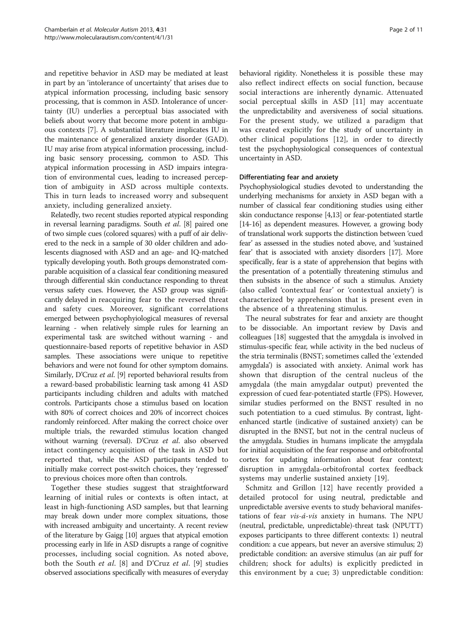and repetitive behavior in ASD may be mediated at least in part by an 'intolerance of uncertainty' that arises due to atypical information processing, including basic sensory processing, that is common in ASD. Intolerance of uncertainty (IU) underlies a perceptual bias associated with beliefs about worry that become more potent in ambiguous contexts [[7](#page-9-0)]. A substantial literature implicates IU in the maintenance of generalized anxiety disorder (GAD). IU may arise from atypical information processing, including basic sensory processing, common to ASD. This atypical information processing in ASD impairs integration of environmental cues, leading to increased perception of ambiguity in ASD across multiple contexts. This in turn leads to increased worry and subsequent anxiety, including generalized anxiety.

Relatedly, two recent studies reported atypical responding in reversal learning paradigms. South et al. [[8](#page-9-0)] paired one of two simple cues (colored squares) with a puff of air delivered to the neck in a sample of 30 older children and adolescents diagnosed with ASD and an age- and IQ-matched typically developing youth. Both groups demonstrated comparable acquisition of a classical fear conditioning measured through differential skin conductance responding to threat versus safety cues. However, the ASD group was significantly delayed in reacquiring fear to the reversed threat and safety cues. Moreover, significant correlations emerged between psychophyiological measures of reversal learning - when relatively simple rules for learning an experimental task are switched without warning - and questionnaire-based reports of repetitive behavior in ASD samples. These associations were unique to repetitive behaviors and were not found for other symptom domains. Similarly, D'Cruz et al. [\[9\]](#page-9-0) reported behavioral results from a reward-based probabilistic learning task among 41 ASD participants including children and adults with matched controls. Participants chose a stimulus based on location with 80% of correct choices and 20% of incorrect choices randomly reinforced. After making the correct choice over multiple trials, the rewarded stimulus location changed without warning (reversal). D'Cruz et al. also observed intact contingency acquisition of the task in ASD but reported that, while the ASD participants tended to initially make correct post-switch choices, they 'regressed' to previous choices more often than controls.

Together these studies suggest that straightforward learning of initial rules or contexts is often intact, at least in high-functioning ASD samples, but that learning may break down under more complex situations, those with increased ambiguity and uncertainty. A recent review of the literature by Gaigg [[10](#page-9-0)] argues that atypical emotion processing early in life in ASD disrupts a range of cognitive processes, including social cognition. As noted above, both the South et al. [[8\]](#page-9-0) and D'Cruz et al. [\[9](#page-9-0)] studies observed associations specifically with measures of everyday

behavioral rigidity. Nonetheless it is possible these may also reflect indirect effects on social function, because social interactions are inherently dynamic. Attenuated social perceptual skills in ASD [\[11](#page-9-0)] may accentuate the unpredictability and aversiveness of social situations. For the present study, we utilized a paradigm that was created explicitly for the study of uncertainty in other clinical populations [[12](#page-9-0)], in order to directly test the psychophysiological consequences of contextual uncertainty in ASD.

#### Differentiating fear and anxiety

Psychophysiological studies devoted to understanding the underlying mechanisms for anxiety in ASD began with a number of classical fear conditioning studies using either skin conductance response [\[4,13](#page-9-0)] or fear-potentiated startle [[14](#page-9-0)-[16\]](#page-9-0) as dependent measures. However, a growing body of translational work supports the distinction between 'cued fear' as assessed in the studies noted above, and 'sustained fear' that is associated with anxiety disorders [\[17](#page-9-0)]. More specifically, fear is a state of apprehension that begins with the presentation of a potentially threatening stimulus and then subsists in the absence of such a stimulus. Anxiety (also called 'contextual fear' or 'contextual anxiety') is characterized by apprehension that is present even in the absence of a threatening stimulus.

The neural substrates for fear and anxiety are thought to be dissociable. An important review by Davis and colleagues [[18](#page-9-0)] suggested that the amygdala is involved in stimulus-specific fear, while activity in the bed nucleus of the stria terminalis (BNST; sometimes called the 'extended amygdala') is associated with anxiety. Animal work has shown that disruption of the central nucleus of the amygdala (the main amygdalar output) prevented the expression of cued fear-potentiated startle (FPS). However, similar studies performed on the BNST resulted in no such potentiation to a cued stimulus. By contrast, lightenhanced startle (indicative of sustained anxiety) can be disrupted in the BNST, but not in the central nucleus of the amygdala. Studies in humans implicate the amygdala for initial acquisition of the fear response and orbitofrontal cortex for updating information about fear context; disruption in amygdala-orbitofrontal cortex feedback systems may underlie sustained anxiety [[19\]](#page-9-0).

Schmitz and Grillon [[12\]](#page-9-0) have recently provided a detailed protocol for using neutral, predictable and unpredictable aversive events to study behavioral manifestations of fear *vis-á-vis* anxiety in humans. The NPU (neutral, predictable, unpredictable)-threat task (NPUTT) exposes participants to three different contexts: 1) neutral condition: a cue appears, but never an aversive stimulus; 2) predictable condition: an aversive stimulus (an air puff for children; shock for adults) is explicitly predicted in this environment by a cue; 3) unpredictable condition: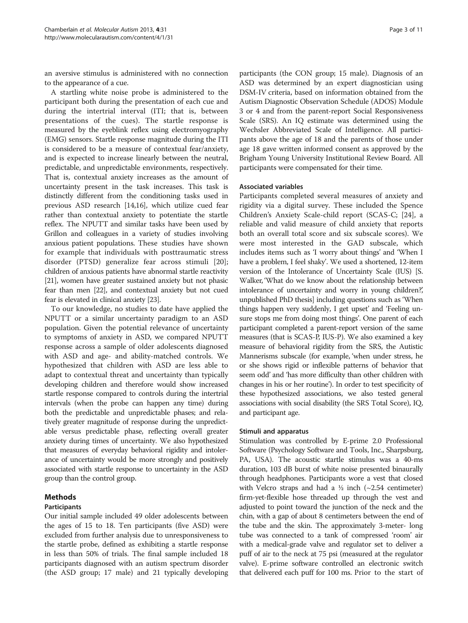an aversive stimulus is administered with no connection to the appearance of a cue.

A startling white noise probe is administered to the participant both during the presentation of each cue and during the intertrial interval (ITI; that is, between presentations of the cues). The startle response is measured by the eyeblink reflex using electromyography (EMG) sensors. Startle response magnitude during the ITI is considered to be a measure of contextual fear/anxiety, and is expected to increase linearly between the neutral, predictable, and unpredictable environments, respectively. That is, contextual anxiety increases as the amount of uncertainty present in the task increases. This task is distinctly different from the conditioning tasks used in previous ASD research [\[14,16\]](#page-9-0), which utilize cued fear rather than contextual anxiety to potentiate the startle reflex. The NPUTT and similar tasks have been used by Grillon and colleagues in a variety of studies involving anxious patient populations. These studies have shown for example that individuals with posttraumatic stress disorder (PTSD) generalize fear across stimuli [\[20](#page-10-0)]; children of anxious patients have abnormal startle reactivity [[21](#page-10-0)], women have greater sustained anxiety but not phasic fear than men [\[22\]](#page-10-0), and contextual anxiety but not cued fear is elevated in clinical anxiety [\[23\]](#page-10-0).

To our knowledge, no studies to date have applied the NPUTT or a similar uncertainty paradigm to an ASD population. Given the potential relevance of uncertainty to symptoms of anxiety in ASD, we compared NPUTT response across a sample of older adolescents diagnosed with ASD and age- and ability-matched controls. We hypothesized that children with ASD are less able to adapt to contextual threat and uncertainty than typically developing children and therefore would show increased startle response compared to controls during the intertrial intervals (when the probe can happen any time) during both the predictable and unpredictable phases; and relatively greater magnitude of response during the unpredictable versus predictable phase, reflecting overall greater anxiety during times of uncertainty. We also hypothesized that measures of everyday behavioral rigidity and intolerance of uncertainty would be more strongly and positively associated with startle response to uncertainty in the ASD group than the control group.

#### Methods

#### Participants

Our initial sample included 49 older adolescents between the ages of 15 to 18. Ten participants (five ASD) were excluded from further analysis due to unresponsiveness to the startle probe, defined as exhibiting a startle response in less than 50% of trials. The final sample included 18 participants diagnosed with an autism spectrum disorder (the ASD group; 17 male) and 21 typically developing

participants (the CON group; 15 male). Diagnosis of an ASD was determined by an expert diagnostician using DSM-IV criteria, based on information obtained from the Autism Diagnostic Observation Schedule (ADOS) Module 3 or 4 and from the parent-report Social Responsiveness Scale (SRS). An IQ estimate was determined using the Wechsler Abbreviated Scale of Intelligence. All participants above the age of 18 and the parents of those under age 18 gave written informed consent as approved by the Brigham Young University Institutional Review Board. All participants were compensated for their time.

#### Associated variables

Participants completed several measures of anxiety and rigidity via a digital survey. These included the Spence Children's Anxiety Scale-child report (SCAS-C; [\[24](#page-10-0)], a reliable and valid measure of child anxiety that reports both an overall total score and six subscale scores). We were most interested in the GAD subscale, which includes items such as 'I worry about things' and 'When I have a problem, I feel shaky'. We used a shortened, 12-item version of the Intolerance of Uncertainty Scale (IUS) [S. Walker, 'What do we know about the relationship between intolerance of uncertainty and worry in young children?,' unpublished PhD thesis] including questions such as 'When things happen very suddenly, I get upset' and 'Feeling unsure stops me from doing most things'. One parent of each participant completed a parent-report version of the same measures (that is SCAS-P, IUS-P). We also examined a key measure of behavioral rigidity from the SRS, the Autistic Mannerisms subscale (for example, 'when under stress, he or she shows rigid or inflexible patterns of behavior that seem odd' and 'has more difficulty than other children with changes in his or her routine'). In order to test specificity of these hypothesized associations, we also tested general associations with social disability (the SRS Total Score), IQ, and participant age.

#### Stimuli and apparatus

Stimulation was controlled by E-prime 2.0 Professional Software (Psychology Software and Tools, Inc., Sharpsburg, PA, USA). The acoustic startle stimulus was a 40-ms duration, 103 dB burst of white noise presented binaurally through headphones. Participants wore a vest that closed with Velcro straps and had a  $\frac{1}{2}$  inch ( $\sim$ 2.54 centimeter) firm-yet-flexible hose threaded up through the vest and adjusted to point toward the junction of the neck and the chin, with a gap of about 8 centimeters between the end of the tube and the skin. The approximately 3-meter- long tube was connected to a tank of compressed 'room' air with a medical-grade valve and regulator set to deliver a puff of air to the neck at 75 psi (measured at the regulator valve). E-prime software controlled an electronic switch that delivered each puff for 100 ms. Prior to the start of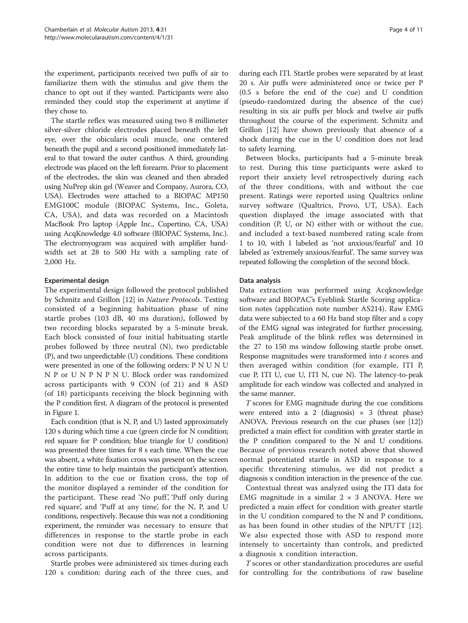the experiment, participants received two puffs of air to familiarize them with the stimulus and give them the chance to opt out if they wanted. Participants were also reminded they could stop the experiment at anytime if they chose to.

The startle reflex was measured using two 8 millimeter silver-silver chloride electrodes placed beneath the left eye, over the obicularis oculi muscle, one centered beneath the pupil and a second positioned immediately lateral to that toward the outer canthus. A third, grounding electrode was placed on the left forearm. Prior to placement of the electrodes, the skin was cleaned and then abraded using NuPrep skin gel (Weaver and Company, Aurora, CO, USA). Electrodes were attached to a BIOPAC MP150 EMG100C module (BIOPAC Systems, Inc., Goleta, CA, USA), and data was recorded on a Macintosh MacBook Pro laptop (Apple Inc., Cupertino, CA, USA) using AcqKnowledge 4.0 software (BIOPAC Systems, Inc.). The electromyogram was acquired with amplifier bandwidth set at 28 to 500 Hz with a sampling rate of 2,000 Hz.

#### Experimental design

The experimental design followed the protocol published by Schmitz and Grillon [\[12\]](#page-9-0) in Nature Protocols. Testing consisted of a beginning habituation phase of nine startle probes (103 dB, 40 ms duration), followed by two recording blocks separated by a 5-minute break. Each block consisted of four initial habituating startle probes followed by three neutral (N), two predictable (P), and two unpredictable (U) conditions. These conditions were presented in one of the following orders: P N U N U N P or U N P N P N U. Block order was randomized across participants with 9 CON (of 21) and 8 ASD (of 18) participants receiving the block beginning with the P condition first. A diagram of the protocol is presented in Figure [1.](#page-4-0)

Each condition (that is N, P, and U) lasted approximately 120 s during which time a cue (green circle for N condition; red square for P condition; blue triangle for U condition) was presented three times for 8 s each time. When the cue was absent, a white fixation cross was present on the screen the entire time to help maintain the participant's attention. In addition to the cue or fixation cross, the top of the monitor displayed a reminder of the condition for the participant. These read 'No puff', 'Puff only during red square', and 'Puff at any time', for the N, P, and U conditions, respectively. Because this was not a conditioning experiment, the reminder was necessary to ensure that differences in response to the startle probe in each condition were not due to differences in learning across participants.

Startle probes were administered six times during each 120 s condition: during each of the three cues, and during each ITI. Startle probes were separated by at least 20 s. Air puffs were administered once or twice per P (0.5 s before the end of the cue) and U condition (pseudo-randomized during the absence of the cue) resulting in six air puffs per block and twelve air puffs throughout the course of the experiment. Schmitz and Grillon [\[12](#page-9-0)] have shown previously that absence of a shock during the cue in the U condition does not lead to safety learning.

Between blocks, participants had a 5-minute break to rest. During this time participants were asked to report their anxiety level retrospectively during each of the three conditions, with and without the cue present. Ratings were reported using Qualtrics online survey software (Qualtrics, Provo, UT, USA). Each question displayed the image associated with that condition (P, U, or N) either with or without the cue, and included a text-based numbered rating scale from 1 to 10, with 1 labeled as 'not anxious/fearful' and 10 labeled as 'extremely anxious/fearful'. The same survey was repeated following the completion of the second block.

#### Data analysis

Data extraction was performed using Acqknowledge software and BIOPAC's Eyeblink Startle Scoring application notes (application note number AS214). Raw EMG data were subjected to a 60 Hz band stop filter and a copy of the EMG signal was integrated for further processing. Peak amplitude of the blink reflex was determined in the 27 to 150 ms window following startle probe onset. Response magnitudes were transformed into  $t$  scores and then averaged within condition (for example, ITI P, cue P, ITI U, cue U, ITI N, cue N). The latency-to-peak amplitude for each window was collected and analyzed in the same manner.

T scores for EMG magnitude during the cue conditions were entered into a 2 (diagnosis)  $\times$  3 (threat phase) ANOVA. Previous research on the cue phases (see [\[12](#page-9-0)]) predicted a main effect for condition with greater startle in the P condition compared to the N and U conditions. Because of previous research noted above that showed normal potentiated startle in ASD in response to a specific threatening stimulus, we did not predict a diagnosis x condition interaction in the presence of the cue.

Contextual threat was analyzed using the ITI data for EMG magnitude in a similar  $2 \times 3$  ANOVA. Here we predicted a main effect for condition with greater startle in the U condition compared to the N and P conditions, as has been found in other studies of the NPUTT [\[12](#page-9-0)]. We also expected those with ASD to respond more intensely to uncertainty than controls, and predicted a diagnosis x condition interaction.

T scores or other standardization procedures are useful for controlling for the contributions of raw baseline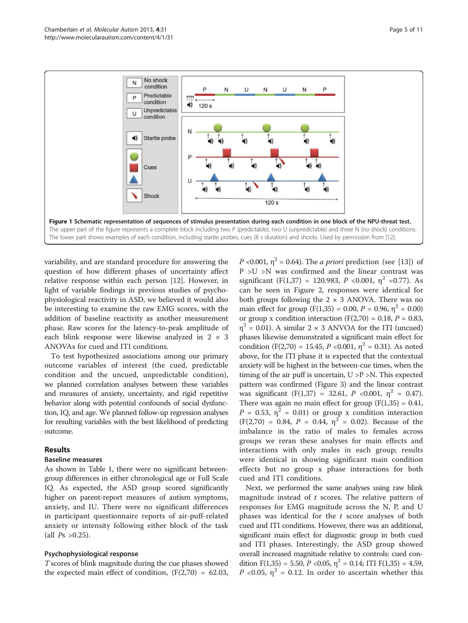<span id="page-4-0"></span>

variability, and are standard procedure for answering the question of how different phases of uncertainty affect relative response within each person [\[12](#page-9-0)]. However, in light of variable findings in previous studies of psychophysiological reactivity in ASD, we believed it would also be interesting to examine the raw EMG scores, with the addition of baseline reactivity as another measurement phase. Raw scores for the latency-to-peak amplitude of each blink response were likewise analyzed in  $2 \times 3$ ANOVAs for cued and ITI conditions.

To test hypothesized associations among our primary outcome variables of interest (the cued, predictable condition and the uncued, unpredictable condition), we planned correlation analyses between these variables and measures of anxiety, uncertainty, and rigid repetitive behavior along with potential confounds of social dysfunction, IQ, and age. We planned follow-up regression analyses for resulting variables with the best likelihood of predicting outcome.

#### Results

#### Baseline measures

As shown in Table [1,](#page-5-0) there were no significant betweengroup differences in either chronological age or Full Scale IQ. As expected, the ASD group scored significantly higher on parent-report measures of autism symptoms, anxiety, and IU. There were no significant differences in participant questionnaire reports of air-puff-related anxiety or intensity following either block of the task (all  $Ps > 0.25$ ).

#### Psychophysiological response

T scores of blink magnitude during the cue phases showed the expected main effect of condition,  $(F(2,70) = 62.03)$ 

P <0.001,  $\eta^2$  = 0.64). The *a priori* prediction (see [[13\]](#page-9-0)) of P >U >N was confirmed and the linear contrast was significant (F(1,37) = 120.983, P <0.001,  $\eta^2$  =0.77). As can be seen in Figure [2](#page-5-0), responses were identical for both groups following the  $2 \times 3$  ANOVA. There was no main effect for group  $(F(1,35) = 0.00, P = 0.96, \eta^2 = 0.00)$ or group x condition interaction (F(2,70) = 0.18,  $P = 0.83$ ,  $\eta^2$  = 0.01). A similar 2 × 3 ANVOA for the ITI (uncued) phases likewise demonstrated a significant main effect for condition  $(F(2,70) = 15.45, P < 0.001, \eta^2 = 0.31)$ . As noted above, for the ITI phase it is expected that the contextual anxiety will be highest in the between-cue times, when the timing of the air puff is uncertain,  $U > P > N$ . This expected pattern was confirmed (Figure [3\)](#page-6-0) and the linear contrast was significant (F(1,37) = 32.61, P <0.001,  $\eta^2$  = 0.47). There was again no main effect for group  $(F(1,35) = 0.41,$  $P = 0.53$ ,  $\eta^2 = 0.01$ ) or group x condition interaction  $(F(2,70) = 0.84, P = 0.44, \eta^2 = 0.02)$ . Because of the imbalance in the ratio of males to females across groups we reran these analyses for main effects and interactions with only males in each group; results were identical in showing significant main condition effects but no group x phase interactions for both cued and ITI conditions.

Next, we performed the same analyses using raw blink magnitude instead of  $t$  scores. The relative pattern of responses for EMG magnitude across the N, P, and U phases was identical for the  $t$  score analyses of both cued and ITI conditions. However, there was an additional, significant main effect for diagnostic group in both cued and ITI phases. Interestingly, the ASD group showed overall increased magnitude relative to controls: cued condition  $F(1,35) = 5.50$ ,  $P < 0.05$ ,  $\eta^2 = 0.14$ ; ITI  $F(1,35) = 4.59$ , P <0.05,  $\eta^2$  = 0.12. In order to ascertain whether this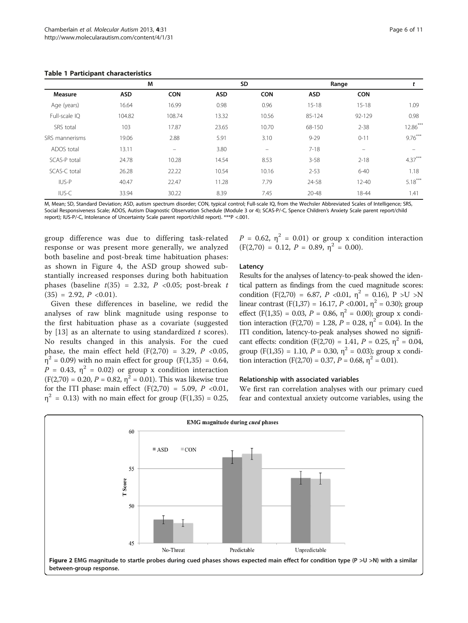<span id="page-5-0"></span>

| <b>Measure</b> | M          |                          | SD         |            | Range      |                          |            |
|----------------|------------|--------------------------|------------|------------|------------|--------------------------|------------|
|                | <b>ASD</b> | <b>CON</b>               | <b>ASD</b> | <b>CON</b> | <b>ASD</b> | <b>CON</b>               |            |
| Age (years)    | 16.64      | 16.99                    | 0.98       | 0.96       | $15 - 18$  | $15 - 18$                | 1.09       |
| Full-scale IQ  | 104.82     | 108.74                   | 13.32      | 10.56      | 85-124     | 92-129                   | 0.98       |
| SRS total      | 103        | 17.87                    | 23.65      | 10.70      | 68-150     | $2 - 38$                 | $12.86***$ |
| SRS mannerisms | 19.06      | 2.88                     | 5.91       | 3.10       | $9 - 29$   | $0 - 11$                 | $9.76***$  |
| ADOS total     | 13.11      | $\overline{\phantom{0}}$ | 3.80       | -          | $7 - 18$   | $\overline{\phantom{0}}$ |            |
| SCAS-P total   | 24.78      | 10.28                    | 14.54      | 8.53       | $3 - 58$   | $2 - 18$                 | $4.37***$  |
| SCAS-C total   | 26.28      | 22.22                    | 10.54      | 10.16      | $2 - 53$   | $6 - 40$                 | 1.18       |
| IUS-P          | 40.47      | 22.47                    | 11.28      | 7.79       | 24-58      | $12 - 40$                | $5.18***$  |
| IUS-C          | 33.94      | 30.22                    | 8.39       | 7.45       | $20 - 48$  | 18-44                    | 1.41       |

M, Mean; SD, Standard Deviation; ASD, autism spectrum disorder; CON, typical control; Full-scale IQ, from the Wechsler Abbreviated Scales of Intelligence; SRS, Social Responsiveness Scale; ADOS, Autism Diagnostic Observation Schedule (Module 3 or 4); SCAS-P/-C, Spence Children's Anxiety Scale parent report/child report); IUS-P/-C, Intolerance of Uncertainty Scale parent report/child report). \*\*\*P <.001.

group difference was due to differing task-related response or was present more generally, we analyzed both baseline and post-break time habituation phases: as shown in Figure [4,](#page-6-0) the ASD group showed substantially increased responses during both habituation phases (baseline  $t(35) = 2.32$ ,  $P \le 0.05$ ; post-break  $t$  $(35) = 2.92, P < 0.01$ .

Given these differences in baseline, we redid the analyses of raw blink magnitude using response to the first habituation phase as a covariate (suggested by  $[13]$  $[13]$  as an alternate to using standardized t scores). No results changed in this analysis. For the cued phase, the main effect held  $(F(2,70) = 3.29, P < 0.05,$  $\eta^2$  = 0.09) with no main effect for group (F(1,35) = 0.64,  $P = 0.43$ ,  $\eta^2 = 0.02$ ) or group x condition interaction  $(F(2,70) = 0.20, P = 0.82, \eta^2 = 0.01)$ . This was likewise true for the ITI phase: main effect  $(F(2,70) = 5.09, P < 0.01,$  $\eta^2$  = 0.13) with no main effect for group (F(1,35) = 0.25,

 $P = 0.62$ ,  $\eta^2 = 0.01$ ) or group x condition interaction  $(F(2,70) = 0.12, P = 0.89, \eta^2 = 0.00).$ 

#### Latency

Results for the analyses of latency-to-peak showed the identical pattern as findings from the cued magnitude scores: condition (F(2,70) = 6.87, P <0.01,  $\eta^2$  = 0.16), P >U >N linear contrast (F(1,37) = 16.17, P <0.001,  $\eta^2$  = 0.30); group effect (F(1,35) = 0.03,  $P = 0.86$ ,  $\eta^2 = 0.00$ ); group x condition interaction (F(2,70) = 1.28,  $P = 0.28$ ,  $\eta^2 = 0.04$ ). In the ITI condition, latency-to-peak analyses showed no significant effects: condition (F(2,70) = 1.41,  $P = 0.25$ ,  $\eta^2 = 0.04$ , group (F(1,35) = 1.10,  $P = 0.30$ ,  $\eta^2 = 0.03$ ); group x condition interaction (F(2,70) = 0.37,  $P = 0.68$ ,  $\eta^2 = 0.01$ ).

#### Relationship with associated variables

We first ran correlation analyses with our primary cued fear and contextual anxiety outcome variables, using the

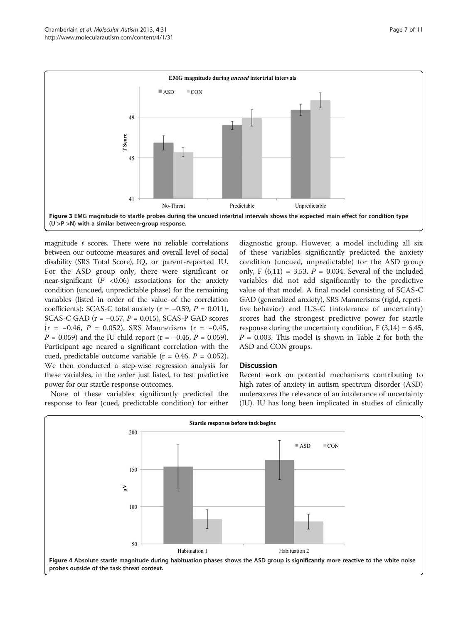<span id="page-6-0"></span>

magnitude  $t$  scores. There were no reliable correlations between our outcome measures and overall level of social disability (SRS Total Score), IQ, or parent-reported IU. For the ASD group only, there were significant or near-significant  $(P \le 0.06)$  associations for the anxiety condition (uncued, unpredictable phase) for the remaining variables (listed in order of the value of the correlation coefficients): SCAS-C total anxiety ( $r = -0.59$ ,  $P = 0.011$ ), SCAS-C GAD ( $r = -0.57$ ,  $P = 0.015$ ), SCAS-P GAD scores  $(r = -0.46, P = 0.052)$ , SRS Mannerisms  $(r = -0.45,$  $P = 0.059$ ) and the IU child report (r = -0.45,  $P = 0.059$ ). Participant age neared a significant correlation with the cued, predictable outcome variable ( $r = 0.46$ ,  $P = 0.052$ ). We then conducted a step-wise regression analysis for these variables, in the order just listed, to test predictive power for our startle response outcomes.

None of these variables significantly predicted the response to fear (cued, predictable condition) for either

diagnostic group. However, a model including all six of these variables significantly predicted the anxiety condition (uncued, unpredictable) for the ASD group only, F  $(6,11) = 3.53$ , P = 0.034. Several of the included variables did not add significantly to the predictive value of that model. A final model consisting of SCAS-C GAD (generalized anxiety), SRS Mannerisms (rigid, repetitive behavior) and IUS-C (intolerance of uncertainty) scores had the strongest predictive power for startle response during the uncertainty condition,  $F(3,14) = 6.45$ ,  $P = 0.003$ . This model is shown in Table [2](#page-7-0) for both the ASD and CON groups.

#### **Discussion**

Recent work on potential mechanisms contributing to high rates of anxiety in autism spectrum disorder (ASD) underscores the relevance of an intolerance of uncertainty (IU). IU has long been implicated in studies of clinically

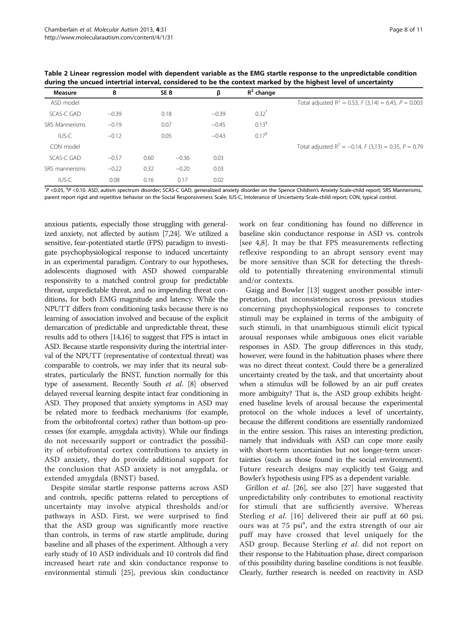| Page 8 of 11 |  |  |
|--------------|--|--|
|              |  |  |

<span id="page-7-0"></span>

| Table 2 Linear regression model with dependent variable as the EMG startle response to the unpredictable condition |
|--------------------------------------------------------------------------------------------------------------------|
| during the uncued intertrial interval, considered to be the context marked by the highest level of uncertainty     |

| Measure               | В       |      | SE <sub>B</sub> | β       | $R^2$ change        |                                                          |
|-----------------------|---------|------|-----------------|---------|---------------------|----------------------------------------------------------|
| ASD model             |         |      |                 |         |                     | Total adjusted $R^2 = 0.53$ , F (3,14) = 6.45, P = 0.003 |
| <b>SCAS-C GAD</b>     | $-0.39$ |      | 0.18            | $-0.39$ | $0.32$ <sup>*</sup> |                                                          |
| <b>SRS Mannerisms</b> | $-0.19$ |      | 0.07            | $-0.45$ | $0.13^{6}$          |                                                          |
| IUS-C                 | $-0.12$ |      | 0.05            | $-0.43$ | $0.17^{6}$          |                                                          |
| CON model             |         |      |                 |         |                     | Total adjusted $R^2 = -0.14$ , F (3,13) = 0.35, P = 0.79 |
| <b>SCAS-C GAD</b>     | $-0.57$ | 0.60 | $-0.36$         | 0.03    |                     |                                                          |
| SRS mannerisms        | $-0.22$ | 0.32 | $-0.20$         | 0.03    |                     |                                                          |
| IUS-C                 | 0.08    | 0.16 | 0.17            | 0.02    |                     |                                                          |

\*P <0.05, <sup>\$</sup>P <0.10. ASD, autism spectrum disorder; SCAS-C GAD, generalized anxiety disorder on the Spence Children's Anxiety Scale-child report; SRS Mannerisms, parent report rigid and repetitive behavior on the Social Responsiveness Scale; IUS-C, Intolerance of Uncertainty Scale-child report; CON, typical control.

anxious patients, especially those struggling with generalized anxiety, not affected by autism [[7](#page-9-0)[,24\]](#page-10-0). We utilized a sensitive, fear-potentiated startle (FPS) paradigm to investigate psychophysiological response to induced uncertainty in an experimental paradigm. Contrary to our hypotheses, adolescents diagnosed with ASD showed comparable responsivity to a matched control group for predictable threat, unpredictable threat, and no impending threat conditions, for both EMG magnitude and latency. While the NPUTT differs from conditioning tasks because there is no learning of association involved and because of the explicit demarcation of predictable and unpredictable threat, these results add to others [\[14,16](#page-9-0)] to suggest that FPS is intact in ASD. Because startle responsivity during the intertrial interval of the NPUTT (representative of contextual threat) was comparable to controls, we may infer that its neural substrates, particularly the BNST, function normally for this type of assessment. Recently South et al. [\[8\]](#page-9-0) observed delayed reversal learning despite intact fear conditioning in ASD. They proposed that anxiety symptoms in ASD may be related more to feedback mechanisms (for example, from the orbitofrontal cortex) rather than bottom-up processes (for example, amygdala activity). While our findings do not necessarily support or contradict the possibility of orbitofrontal cortex contributions to anxiety in ASD anxiety, they do provide additional support for the conclusion that ASD anxiety is not amygdala, or extended amygdala (BNST) based.

Despite similar startle response patterns across ASD and controls, specific patterns related to perceptions of uncertainty may involve atypical thresholds and/or pathways in ASD. First, we were surprised to find that the ASD group was significantly more reactive than controls, in terms of raw startle amplitude, during baseline and all phases of the experiment. Although a very early study of 10 ASD individuals and 10 controls did find increased heart rate and skin conductance response to environmental stimuli [\[25\]](#page-10-0), previous skin conductance

work on fear conditioning has found no difference in baseline skin conductance response in ASD vs. controls [see [4,8](#page-9-0)]. It may be that FPS measurements reflecting reflexive responding to an abrupt sensory event may be more sensitive than SCR for detecting the threshold to potentially threatening environmental stimuli and/or contexts.

Gaigg and Bowler [\[13\]](#page-9-0) suggest another possible interpretation, that inconsistencies across previous studies concerning psychophysiological responses to concrete stimuli may be explained in terms of the ambiguity of such stimuli, in that unambiguous stimuli elicit typical arousal responses while ambiguous ones elicit variable responses in ASD. The group differences in this study, however, were found in the habituation phases where there was no direct threat context. Could there be a generalized uncertainty created by the task, and that uncertainty about when a stimulus will be followed by an air puff creates more ambiguity? That is, the ASD group exhibits heightened baseline levels of arousal because the experimental protocol on the whole induces a level of uncertainty, because the different conditions are essentially randomized in the entire session. This raises an interesting prediction, namely that individuals with ASD can cope more easily with short-term uncertainties but not longer-term uncertainties (such as those found in the social environment). Future research designs may explicitly test Gaigg and Bowler's hypothesis using FPS as a dependent variable.

Grillon et al. [[26](#page-10-0)], see also [\[27](#page-10-0)] have suggested that unpredictability only contributes to emotional reactivity for stimuli that are sufficiently aversive. Whereas Sterling et al. [\[16](#page-9-0)] delivered their air puff at 60 psi, ours was at 75 psi<sup>a</sup>, and the extra strength of our air puff may have crossed that level uniquely for the ASD group. Because Sterling et al. did not report on their response to the Habituation phase, direct comparison of this possibility during baseline conditions is not feasible. Clearly, further research is needed on reactivity in ASD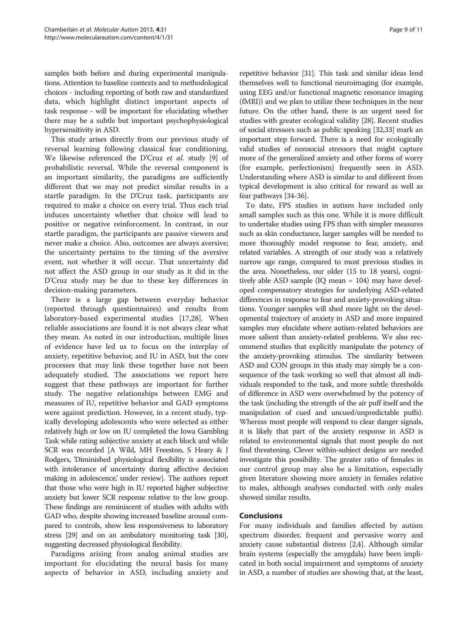samples both before and during experimental manipulations. Attention to baseline contexts and to methodological choices - including reporting of both raw and standardized data, which highlight distinct important aspects of task response - will be important for elucidating whether there may be a subtle but important psychophysiological hypersensitivity in ASD.

This study arises directly from our previous study of reversal learning following classical fear conditioning. We likewise referenced the D'Cruz et al. study [[9](#page-9-0)] of probabilistic reversal. While the reversal component is an important similarity, the paradigms are sufficiently different that we may not predict similar results in a startle paradigm. In the D'Cruz task, participants are required to make a choice on every trial. Thus each trial induces uncertainty whether that choice will lead to positive or negative reinforcement. In contrast, in our startle paradigm, the participants are passive viewers and never make a choice. Also, outcomes are always aversive; the uncertainty pertains to the timing of the aversive event, not whether it will occur. That uncertainty did not affect the ASD group in our study as it did in the D'Cruz study may be due to these key differences in decision-making parameters.

There is a large gap between everyday behavior (reported through questionnaires) and results from laboratory-based experimental studies [\[17](#page-9-0)[,28\]](#page-10-0). When reliable associations are found it is not always clear what they mean. As noted in our introduction, multiple lines of evidence have led us to focus on the interplay of anxiety, repetitive behavior, and IU in ASD, but the core processes that may link these together have not been adequately studied. The associations we report here suggest that these pathways are important for further study. The negative relationships between EMG and measures of IU, repetitive behavior and GAD symptoms were against prediction. However, in a recent study, typically developing adolescents who were selected as either relatively high or low on IU completed the Iowa Gambling Task while rating subjective anxiety at each block and while SCR was recorded [A Wild, MH Freeston, S Heary & J Rodgers, 'Diminished physiological flexibility is associated with intolerance of uncertainty during affective decision making in adolescence,' under review]. The authors report that those who were high in IU reported higher subjective anxiety but lower SCR response relative to the low group. These findings are reminiscent of studies with adults with GAD who, despite showing increased baseline arousal compared to controls, show less responsiveness to laboratory stress [\[29\]](#page-10-0) and on an ambulatory monitoring task [\[30](#page-10-0)], suggesting decreased physiological flexibility.

Paradigms arising from analog animal studies are important for elucidating the neural basis for many aspects of behavior in ASD, including anxiety and repetitive behavior [\[31\]](#page-10-0). This task and similar ideas lend themselves well to functional neuroimaging (for example, using EEG and/or functional magnetic resonance imaging (fMRI)) and we plan to utilize these techniques in the near future. On the other hand, there is an urgent need for studies with greater ecological validity [\[28\]](#page-10-0). Recent studies of social stressors such as public speaking [\[32,33](#page-10-0)] mark an important step forward. There is a need for ecologically valid studies of nonsocial stressors that might capture more of the generalized anxiety and other forms of worry (for example, perfectionism) frequently seen in ASD. Understanding where ASD is similar to and different from typical development is also critical for reward as well as fear pathways [[34-36\]](#page-10-0).

To date, FPS studies in autism have included only small samples such as this one. While it is more difficult to undertake studies using FPS than with simpler measures such as skin conductance, larger samples will be needed to more thoroughly model response to fear, anxiety, and related variables. A strength of our study was a relatively narrow age range, compared to most previous studies in the area. Nonetheless, our older (15 to 18 years), cognitively able ASD sample (IQ mean = 104) may have developed compensatory strategies for underlying ASD-related differences in response to fear and anxiety-provoking situations. Younger samples will shed more light on the developmental trajectory of anxiety in ASD and more impaired samples may elucidate where autism-related behaviors are more salient than anxiety-related problems. We also recommend studies that explicitly manipulate the potency of the anxiety-provoking stimulus. The similarity between ASD and CON groups in this study may simply be a consequence of the task working so well that almost all individuals responded to the task, and more subtle thresholds of difference in ASD were overwhelmed by the potency of the task (including the strength of the air puff itself and the manipulation of cued and uncued/unpredictable puffs). Whereas most people will respond to clear danger signals, it is likely that part of the anxiety response in ASD is related to environmental signals that most people do not find threatening. Clever within-subject designs are needed investigate this possibility. The greater ratio of females in our control group may also be a limitation, especially given literature showing more anxiety in females relative to males, although analyses conducted with only males showed similar results.

#### **Conclusions**

For many individuals and families affected by autism spectrum disorder, frequent and pervasive worry and anxiety cause substantial distress [\[2,4\]](#page-9-0). Although similar brain systems (especially the amygdala) have been implicated in both social impairment and symptoms of anxiety in ASD, a number of studies are showing that, at the least,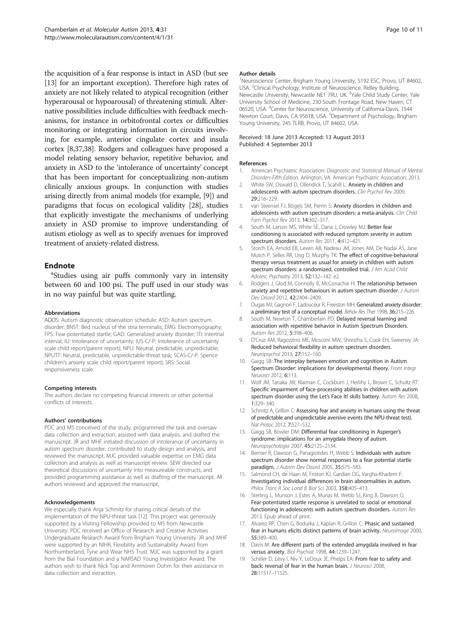<span id="page-9-0"></span>the acquisition of a fear response is intact in ASD (but see [13] for an important exception). Therefore high rates of anxiety are not likely related to atypical recognition (either hyperarousal or hypoarousal) of threatening stimuli. Alternative possibilities include difficulties with feedback mechanisms, for instance in orbitofrontal cortex or difficulties monitoring or integrating information in circuits involving, for example, anterior cingulate cortex and insula cortex [8[,37,38\]](#page-10-0). Rodgers and colleagues have proposed a model relating sensory behavior, repetitive behavior, and anxiety in ASD to the 'intolerance of uncertainty' concept that has been important for conceptualizing non-autism clinically anxious groups. In conjunction with studies arising directly from animal models (for example, [9]) and paradigms that focus on ecological validity [[28](#page-10-0)], studies that explicitly investigate the mechanisms of underlying anxiety in ASD promise to improve understanding of autism etiology as well as to specify avenues for improved treatment of anxiety-related distress.

#### **Endnote**

<sup>a</sup>Studies using air puffs commonly vary in intensity between 60 and 100 psi. The puff used in our study was in no way painful but was quite startling.

#### Abbreviations

ADOS: Autism diagnostic observation schedule; ASD: Autism spectrum disorder; BNST: Bed nucleus of the stria terminalis; EMG: Electromyography; FPS: Fear-potentiated startle; GAD: Generalized anxiety disorder; ITI: Intertrial interval; IU: Intolerance of uncertainty; IUS-C/-P: Intolerance of uncertainty scale child report/parent report); NPU: Neutral, predictable, unpredictable; NPUTT: Neutral, predictable, unpredictable-threat task; SCAS-C/-P: Spence children's anxiety scale child report/parent report); SRS: Social responsiveness scale.

#### Competing interests

The authors declare no competing financial interests or other potential conflicts of interests.

#### Authors' contributions

PDC and MS conceived of the study, programmed the task and oversaw data collection and extraction, assisted with data analysis, and drafted the manuscript. JR and MHF initiated discussion of intolerance of uncertainty in autism spectrum disorder, contributed to study design and analysis, and reviewed the manuscript. MJC provided valuable expertise on EMG data collection and analysis as well as manuscript review. SEW directed our theoretical discussions of uncertainty into measureable constructs, and provided programming assistance as well as drafting of the manuscript. All authors reviewed and approved the manuscript.

#### Acknowledgements

We especially thank Anja Schmitz for sharing critical details of the implementation of the NPU-threat task [12]. This project was generously supported by a Visiting Fellowship provided to MS from Newcastle University. PDC received an Office of Research and Creative Activities Undergraduate Research Award from Brigham Young University. JR and MHF were supported by an NIHR, Flexibility and Sustainability Award from Northumberland, Tyne and Wear NHS Trust. MJC was supported by a grant from the Bial Foundation and a NARSAD Young Investigator Award. The authors wish to thank Nick Top and Ammoren Dohm for their assistance in data collection and extraction.

#### Author details

<sup>1</sup>Neuroscience Center, Brigham Young University, S192 ESC, Provo, UT 84602 USA. <sup>2</sup>Clinical Psychology, Institute of Neuroscience, Ridley Building, Newcastle University, Newcastle NE1 7RU, UK.<sup>3</sup>Yale Child Study Center, Yale University School of Medicine, 230 South Frontage Road, New Haven, CT 06520, USA. <sup>4</sup>Center for Neuroscience, University of California-Davis, 1544 Newton Court, Davis, CA 95618, USA. <sup>5</sup>Department of Psychology, Brigham Young University, 245 TLRB, Provo, UT 84602, USA.

#### Received: 18 June 2013 Accepted: 13 August 2013 Published: 4 September 2013

#### References

- 1. American Psychiatric Association: Diagnostic and Statistical Manual of Mental Disorders-Fifth Edition. Arlington, VA: American Psychiatric Association; 2013.
- 2. White SW, Oswald D, Ollendick T, Scahill L: Anxiety in children and adolescents with autism spectrum disorders. Clin Psychol Rev 2009, 29:216–229.
- 3. van Steensel FJ, Bögels SM, Perrin S: Anxiety disorders in children and adolescents with autism spectrum disorders: a meta-analysis. Clin Child Fam Psychol Rev 2013, 14:302–317.
- 4. South M, Larson MS, White SE, Dana J, Crowley MJ: Better fear conditioning is associated with reduced symptom severity in autism spectrum disorders. Autism Res 2011, 4:412–421.
- 5. Storch EA, Arnold EB, Lewin AB, Nadeau JM, Jones AM, De Nadai AS, Jane Mutch P, Selles RR, Ung D, Murphy TK: The effect of cognitive-behavioral therapy versus treatment as usual for anxiety in children with autism spectrum disorders: a randomized, controlled trial. J Am Acad Child Adolesc Psychiatry 2013, 52:132–142. e2.
- 6. Rodgers J, Glod M, Connolly B, McConachie H: The relationship between anxiety and repetitive behaviours in autism spectrum disorder. J Autism Dev Disord 2012, 42:2404–2409.
- 7. Dugas MJ, Gagnon F, Ladouceur R, Freeston MH: Generalized anxiety disorder: a preliminary test of a conceptual model. Behav Res Ther 1998, 36:215–226.
- 8. South M, Newton T, Chamberlain PD: Delayed reversal learning and association with repetitive behavior in Autism Spectrum Disorders. Autism Res 2012, 5:398–406.
- 9. D'Cruz AM, Ragozzino ME, Mosconi MW, Shrestha S, Cook EH, Sweeney JA: Reduced behavioral flexibility in autism spectrum disorders. Neuropsychol 2013, 27:152–160.
- 10. Gaigg SB: The interplay between emotion and cognition in Autism Spectrum Disorder: implications for developmental theory. Front Integr Neurosci 2012, 6:113.
- 11. Wolf JM, Tanaka JW, Klaiman C, Cockburn J, Herlihy L, Brown C, Schultz RT: Specific impairment of face-processing abilities in children with autism spectrum disorder using the Let's Face It! skills battery. Autism Res 2008, 1:329–340.
- 12. Schmitz A, Grillon C: Assessing fear and anxiety in humans using the threat of predictable and unpredictable aversive events (the NPU-threat test). Nat Protoc 2012, 7:527–532.
- 13. Gaigg SB, Bowler DM: Differential fear conditioning in Asperger's syndrome: implications for an amygdala theory of autism. Neuropsychologia 2007, 45:2125–2134.
- 14. Bernier R, Dawson G, Panagiotides H, Webb S: Individuals with autism spectrum disorder show normal responses to a fear potential startle paradigm. J Autism Dev Disord 2005, 35:575-583.
- 15. Salmond CH, de Haan M, Friston KJ, Gardian DG, Vargha-Khadem F: Investigating individual differences in brain abnormalities in autism. Philos Trans R Soc Lond B Biol Sci 2003, 358:405–413.
- 16. Sterling L, Munson J, Estes A, Murias M, Webb SJ, King B, Dawson G: Fear-potentiated startle response is unrelated to social or emotional functioning in adolescents with autism spectrum disorders. Autism Res 2013. Epub ahead of print.
- 17. Alvarez RP, Chen G, Bodurka J, Kaplan R, Grillon C: Phasic and sustained fear in humans elicits distinct patterns of brain activity. Neuroimage 2000, 55:389–400.
- 18. Davis M: Are different parts of the extended amygdala involved in fear versus anxiety. Biol Psychiat 1998, 44:1239–1247.
- 19. Schiller D, Levy I, Niv Y, LeDoux JE, Phelps EA: From fear to safety and back: reversal of fear in the human brain. J Neurosci 2008, 28:11517–11525.